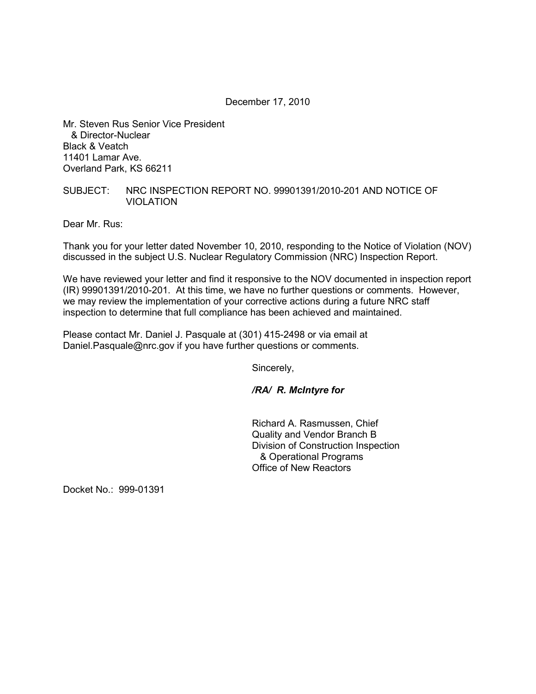December 17, 2010

Mr. Steven Rus Senior Vice President & Director-Nuclear Black & Veatch 11401 Lamar Ave. Overland Park, KS 66211

## SUBJECT: NRC INSPECTION REPORT NO. 99901391/2010-201 AND NOTICE OF VIOLATION

Dear Mr. Rus:

Thank you for your letter dated November 10, 2010, responding to the Notice of Violation (NOV) discussed in the subject U.S. Nuclear Regulatory Commission (NRC) Inspection Report.

We have reviewed your letter and find it responsive to the NOV documented in inspection report (IR) 99901391/2010-201. At this time, we have no further questions or comments. However, we may review the implementation of your corrective actions during a future NRC staff inspection to determine that full compliance has been achieved and maintained.

Please contact Mr. Daniel J. Pasquale at (301) 415-2498 or via email at Daniel.Pasquale@nrc.gov if you have further questions or comments.

Sincerely,

*/RA/ R. McIntyre for* 

Richard A. Rasmussen, Chief Quality and Vendor Branch B Division of Construction Inspection & Operational Programs Office of New Reactors

Docket No.: 999-01391